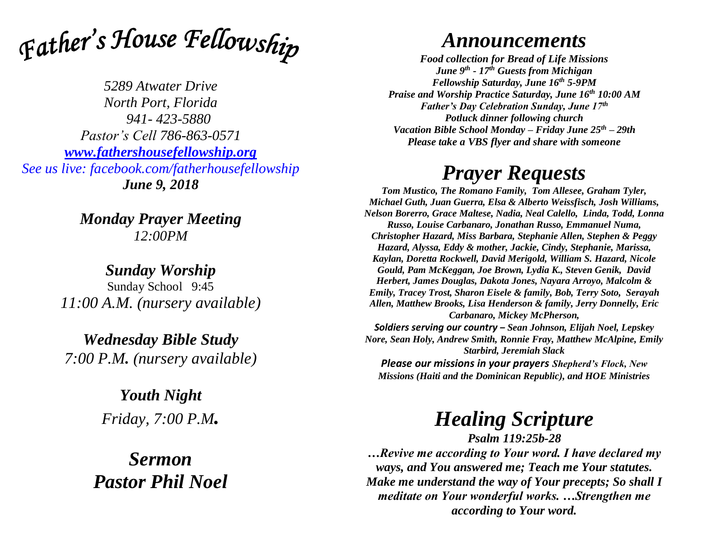

*5289 Atwater Drive North Port, Florida 941- 423-5880 Pastor's Cell 786-863-0571 [www.fathershousefellowship.org](http://www.fathershousefellowship.org/) See us live: facebook.com/fatherhousefellowship June 9, 2018*

> *Monday Prayer Meeting 12:00PM*

*Sunday Worship* Sunday School 9:45 *11:00 A.M. (nursery available)*

*Wednesday Bible Study 7:00 P.M. (nursery available)*

> *Youth Night Friday, 7:00 P.M.*

*Sermon Pastor Phil Noel*

## *Announcements*

*Food collection for Bread of Life Missions June 9th - 17th Guests from Michigan Fellowship Saturday, June 16th 5-9PM Praise and Worship Practice Saturday, June 16th 10:00 AM Father's Day Celebration Sunday, June 17th Potluck dinner following church Vacation Bible School Monday – Friday June 25th – 29th Please take a VBS flyer and share with someone*

## *Prayer Requests*

*Tom Mustico, The Romano Family, Tom Allesee, Graham Tyler, Michael Guth, Juan Guerra, Elsa & Alberto Weissfisch, Josh Williams, Nelson Borerro, Grace Maltese, Nadia, Neal Calello, Linda, Todd, Lonna Russo, Louise Carbanaro, Jonathan Russo, Emmanuel Numa, Christopher Hazard, Miss Barbara, Stephanie Allen, Stephen & Peggy Hazard, Alyssa, Eddy & mother, Jackie, Cindy, Stephanie, Marissa, Kaylan, Doretta Rockwell, David Merigold, William S. Hazard, Nicole Gould, Pam McKeggan, Joe Brown, Lydia K., Steven Genik, David Herbert, James Douglas, Dakota Jones, Nayara Arroyo, Malcolm & Emily, Tracey Trost, Sharon Eisele & family, Bob, Terry Soto, Serayah Allen, Matthew Brooks, Lisa Henderson & family, Jerry Donnelly, Eric Carbanaro, Mickey McPherson,* 

*Soldiers serving our country – Sean Johnson, Elijah Noel, Lepskey Nore, Sean Holy, Andrew Smith, Ronnie Fray, Matthew McAlpine, Emily Starbird, Jeremiah Slack Please our missions in your prayers Shepherd's Flock, New Missions (Haiti and the Dominican Republic), and HOE Ministries*

## *Healing Scripture*

*Psalm 119:25b-28 …Revive me according to Your word. I have declared my ways, and You answered me; Teach me Your statutes. Make me understand the way of Your precepts; So shall I meditate on Your wonderful works. …Strengthen me according to Your word.*